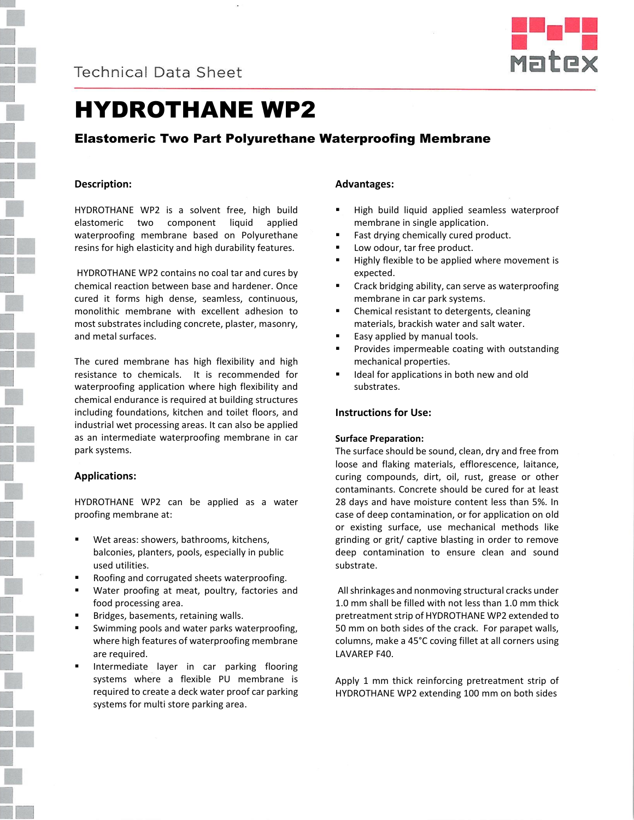



# HYDROTHANE WP2

# Elastomeric Two Part Polyurethane Waterproofing Membrane

# **Description:**

HYDROTHANE WP2 is a solvent free, high build elastomeric two component liquid applied waterproofing membrane based on Polyurethane resins for high elasticity and high durability features.

HYDROTHANE WP2 contains no coal tar and cures by chemical reaction between base and hardener. Once cured it forms high dense, seamless, continuous, monolithic membrane with excellent adhesion to most substrates including concrete, plaster, masonry, and metal surfaces.

The cured membrane has high flexibility and high resistance to chemicals. It is recommended for waterproofing application where high flexibility and chemical endurance is required at building structures including foundations, kitchen and toilet floors, and industrial wet processing areas. It can also be applied as an intermediate waterproofing membrane in car park systems.

# **Applications:**

HYDROTHANE WP2 can be applied as a water proofing membrane at:

- Wet areas: showers, bathrooms, kitchens, balconies, planters, pools, especially in public used utilities.
- Roofing and corrugated sheets waterproofing.
- Water proofing at meat, poultry, factories and food processing area.
- Bridges, basements, retaining walls.
- Swimming pools and water parks waterproofing, where high features of waterproofing membrane are required.
- Intermediate layer in car parking flooring systems where a flexible PU membrane is required to create a deck water proof car parking systems for multi store parking area.

# **Advantages:**

- High build liquid applied seamless waterproof membrane in single application.
- Fast drying chemically cured product.
- Low odour, tar free product.
- Highly flexible to be applied where movement is expected.
- **EXECR** Crack bridging ability, can serve as waterproofing membrane in car park systems.
- Chemical resistant to detergents, cleaning materials, brackish water and salt water.
- Easy applied by manual tools.
- Provides impermeable coating with outstanding mechanical properties.
- **If** Ideal for applications in both new and old substrates.

### **Instructions for Use:**

### **Surface Preparation:**

The surface should be sound, clean, dry and free from loose and flaking materials, efflorescence, laitance, curing compounds, dirt, oil, rust, grease or other contaminants. Concrete should be cured for at least 28 days and have moisture content less than 5%. In case of deep contamination, or for application on old or existing surface, use mechanical methods like grinding or grit/ captive blasting in order to remove deep contamination to ensure clean and sound substrate.

All shrinkages and nonmoving structural cracks under 1.0 mm shall be filled with not less than 1.0 mm thick pretreatment strip of HYDROTHANE WP2 extended to 50 mm on both sides of the crack. For parapet walls, columns, make a 45°C coving fillet at all corners using LAVAREP F40.

Apply 1 mm thick reinforcing pretreatment strip of HYDROTHANE WP2 extending 100 mm on both sides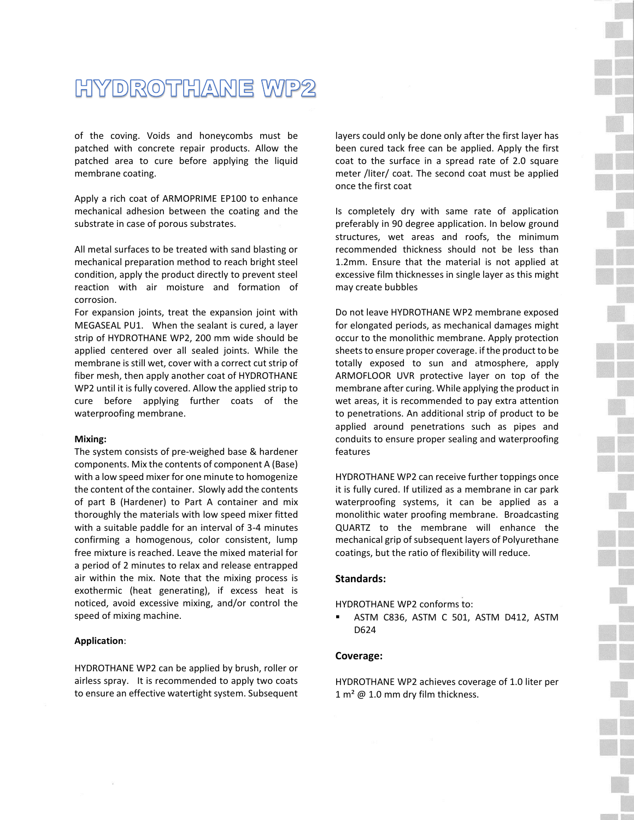# HYDROTHANE WP2

of the coving. Voids and honeycombs must be patched with concrete repair products. Allow the patched area to cure before applying the liquid membrane coating.

Apply a rich coat of ARMOPRIME EP100 to enhance mechanical adhesion between the coating and the substrate in case of porous substrates.

All metal surfaces to be treated with sand blasting or mechanical preparation method to reach bright steel condition, apply the product directly to prevent steel reaction with air moisture and formation of corrosion.

For expansion joints, treat the expansion joint with MEGASEAL PU1. When the sealant is cured, a layer strip of HYDROTHANE WP2, 200 mm wide should be applied centered over all sealed joints. While the membrane is still wet, cover with a correct cut strip of fiber mesh, then apply another coat of HYDROTHANE WP2 until it is fully covered. Allow the applied strip to cure before applying further coats of the waterproofing membrane.

#### **Mixing:**

The system consists of pre-weighed base & hardener components. Mix the contents of component A (Base) with a low speed mixer for one minute to homogenize the content of the container. Slowly add the contents of part B (Hardener) to Part A container and mix thoroughly the materials with low speed mixer fitted with a suitable paddle for an interval of 3-4 minutes confirming a homogenous, color consistent, lump free mixture is reached. Leave the mixed material for a period of 2 minutes to relax and release entrapped air within the mix. Note that the mixing process is exothermic (heat generating), if excess heat is noticed, avoid excessive mixing, and/or control the speed of mixing machine.

#### **Application**:

HYDROTHANE WP2 can be applied by brush, roller or airless spray. It is recommended to apply two coats to ensure an effective watertight system. Subsequent layers could only be done only after the first layer has been cured tack free can be applied. Apply the first coat to the surface in a spread rate of 2.0 square meter /liter/ coat. The second coat must be applied once the first coat

Is completely dry with same rate of application preferably in 90 degree application. In below ground structures, wet areas and roofs, the minimum recommended thickness should not be less than 1.2mm. Ensure that the material is not applied at excessive film thicknesses in single layer as this might may create bubbles

Do not leave HYDROTHANE WP2 membrane exposed for elongated periods, as mechanical damages might occur to the monolithic membrane. Apply protection sheets to ensure proper coverage. if the product to be totally exposed to sun and atmosphere, apply ARMOFLOOR UVR protective layer on top of the membrane after curing. While applying the product in wet areas, it is recommended to pay extra attention to penetrations. An additional strip of product to be applied around penetrations such as pipes and conduits to ensure proper sealing and waterproofing features

HYDROTHANE WP2 can receive further toppings once it is fully cured. If utilized as a membrane in car park waterproofing systems, it can be applied as a monolithic water proofing membrane. Broadcasting QUARTZ to the membrane will enhance the mechanical grip of subsequent layers of Polyurethane coatings, but the ratio of flexibility will reduce.

#### **Standards:**

HYDROTHANE WP2 conforms to:

 ASTM C836, ASTM C 501, ASTM D412, ASTM D624

#### **Coverage:**

HYDROTHANE WP2 achieves coverage of 1.0 liter per  $1 m<sup>2</sup>$  @ 1.0 mm dry film thickness.